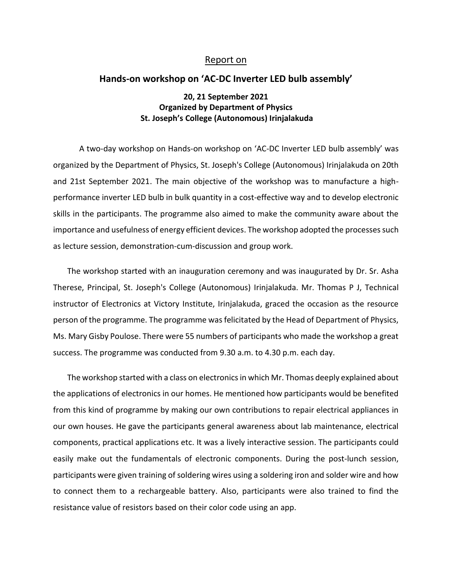#### Report on

#### **Hands-on workshop on 'AC-DC Inverter LED bulb assembly'**

**20, 21 September 2021 Organized by Department of Physics St. Joseph's College (Autonomous) Irinjalakuda**

 A two-day workshop on Hands-on workshop on 'AC-DC Inverter LED bulb assembly' was organized by the Department of Physics, St. Joseph's College (Autonomous) Irinjalakuda on 20th and 21st September 2021. The main objective of the workshop was to manufacture a highperformance inverter LED bulb in bulk quantity in a cost-effective way and to develop electronic skills in the participants. The programme also aimed to make the community aware about the importance and usefulness of energy efficient devices. The workshop adopted the processes such as lecture session, demonstration-cum-discussion and group work.

 The workshop started with an inauguration ceremony and was inaugurated by Dr. Sr. Asha Therese, Principal, St. Joseph's College (Autonomous) Irinjalakuda. Mr. Thomas P J, Technical instructor of Electronics at Victory Institute, Irinjalakuda, graced the occasion as the resource person of the programme. The programme was felicitated by the Head of Department of Physics, Ms. Mary Gisby Poulose. There were 55 numbers of participants who made the workshop a great success. The programme was conducted from 9.30 a.m. to 4.30 p.m. each day.

 The workshop started with a class on electronics in which Mr. Thomas deeply explained about the applications of electronics in our homes. He mentioned how participants would be benefited from this kind of programme by making our own contributions to repair electrical appliances in our own houses. He gave the participants general awareness about lab maintenance, electrical components, practical applications etc. It was a lively interactive session. The participants could easily make out the fundamentals of electronic components. During the post-lunch session, participants were given training of soldering wires using a soldering iron and solder wire and how to connect them to a rechargeable battery. Also, participants were also trained to find the resistance value of resistors based on their color code using an app.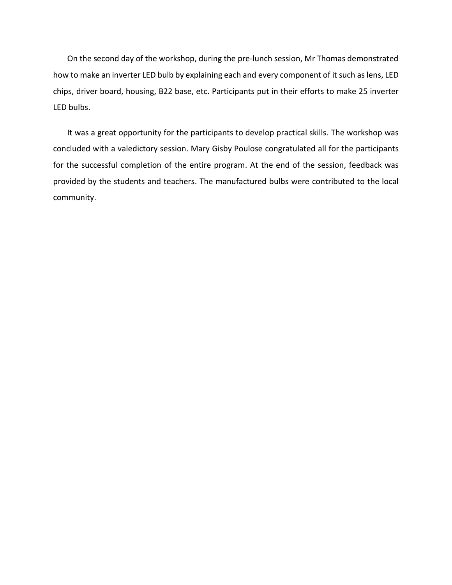On the second day of the workshop, during the pre-lunch session, Mr Thomas demonstrated how to make an inverter LED bulb by explaining each and every component of it such as lens, LED chips, driver board, housing, B22 base, etc. Participants put in their efforts to make 25 inverter LED bulbs.

 It was a great opportunity for the participants to develop practical skills. The workshop was concluded with a valedictory session. Mary Gisby Poulose congratulated all for the participants for the successful completion of the entire program. At the end of the session, feedback was provided by the students and teachers. The manufactured bulbs were contributed to the local community.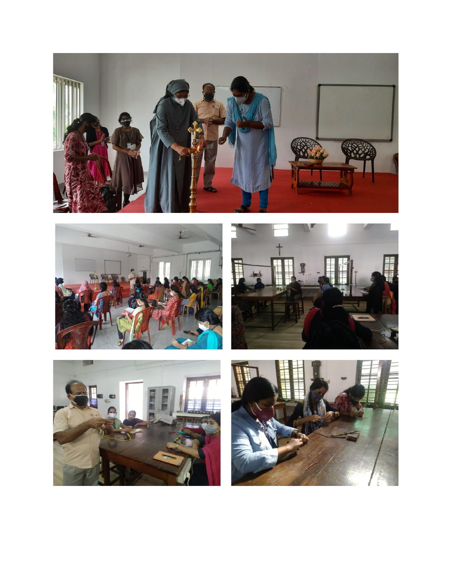







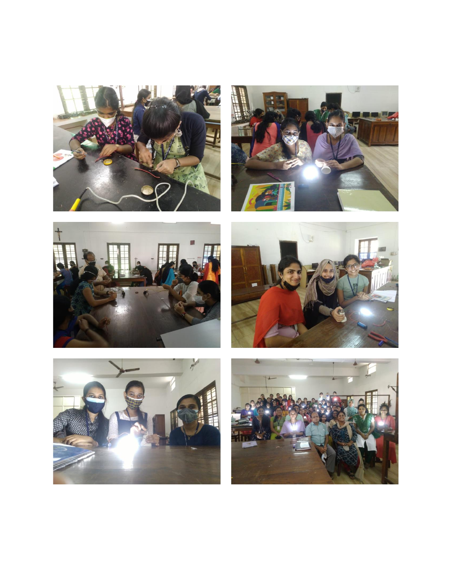









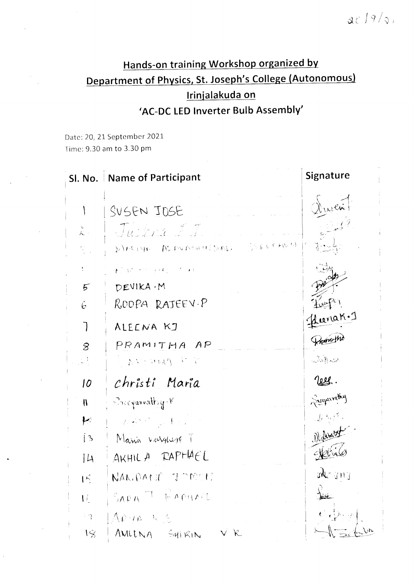|                          | SI. No. Name of Participant                                                                                                                                                     | Signature           |
|--------------------------|---------------------------------------------------------------------------------------------------------------------------------------------------------------------------------|---------------------|
| 义。                       | SUSEN JOSE<br>Justina & J.                                                                                                                                                      | Quent               |
| 잇고                       | DIALINA ALAVAMANICAAL STERFANT (FILLE                                                                                                                                           |                     |
| 5 <sup>1</sup>           | 表示自己 计软件文件数字 不可承担<br>DEVIKA - M                                                                                                                                                 |                     |
| Ğ                        | ROOPA RAJEEV.P                                                                                                                                                                  | FreeP ()<br>Hurak.1 |
| $\overline{\phantom{a}}$ | ALEENA KJ                                                                                                                                                                       |                     |
| $\mathcal{S}$            | PRAMITHA AP                                                                                                                                                                     | Promitio            |
|                          | $\mathcal{T}^{-\frac{1}{2}}$ (Protest $\mathcal{T}^{-\frac{1}{2}}$                                                                                                              | المخلع إلكيائيها    |
| 0                        | Christi Maria                                                                                                                                                                   | 2.2                 |
| $\mathbf{N}$             | Sheepaovatby.k                                                                                                                                                                  | Breyarvathy         |
| K                        | $\mathcal{L} \left( \mathcal{L} \right) \cong \mathcal{L} \left( \mathcal{L} \right) \cong \mathcal{L} \left( \mathcal{L} \right) \cong \mathcal{L} \left( \mathcal{L} \right)$ | 最短5.                |
| $\frac{1}{3}$            | Maria virginere T                                                                                                                                                               | Delivered           |
| A                        | AKHILA RAPHAEL                                                                                                                                                                  | <b>stet's</b>       |
| 15                       | MANDANG TEMON                                                                                                                                                                   | Ac ana              |
| $\mathbf{E}$             | IMPARE $\Gamma$ Aqual                                                                                                                                                           |                     |
| $\mathbb{Z}$             | Apyp LS                                                                                                                                                                         |                     |
| $\overline{S}$           | $\sqrt{2}$ K<br>AMEENA SHIKIN                                                                                                                                                   |                     |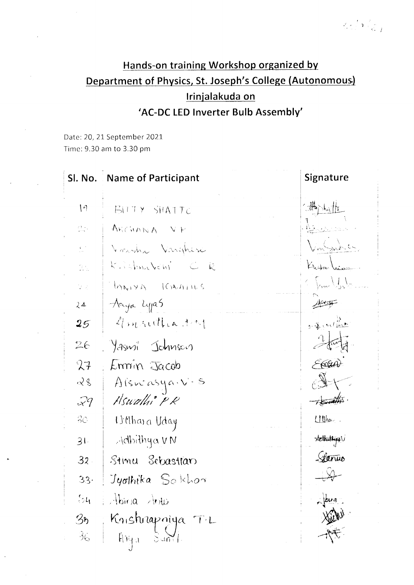Hands-on training Workshop organized by Department of Physics, St. Joseph's College (Autonomous) Irinjalakuda on 'AC-DC LED Inverter Bulb Assembly'

 $\left\langle \xi_{\mathcal{L}} \right\rangle \left\langle \tau \right\rangle_{\mathcal{G}}^{\mathcal{L}}$ 

|                                                        | Sl. No. Name of Participant                                                                                                                                                                                                                                                 | Signature                       |
|--------------------------------------------------------|-----------------------------------------------------------------------------------------------------------------------------------------------------------------------------------------------------------------------------------------------------------------------------|---------------------------------|
| 9                                                      | BITY SHATTE                                                                                                                                                                                                                                                                 | the shirts                      |
| $\frac{2}{\pi} \sum_{k=1}^{\infty} \frac{1}{k}$ .      | ARCHANA VP                                                                                                                                                                                                                                                                  | Armenican 1                     |
| $\sum_{\alpha\in\mathcal{C}}\mathcal{F}_{\alpha\beta}$ | Varight Varighine                                                                                                                                                                                                                                                           | Vingsunce                       |
| $\sum_{i=1}^n \lambda_i$                               | Kishmitchi CR                                                                                                                                                                                                                                                               | Kristin Lance                   |
| $\tilde{\omega}$ is:                                   | $\left\langle \left\langle \right\langle \left\langle \right\rangle _{N},\left\langle \right\rangle _{N}\right\rangle _{N}\right\rangle _{N}=\left\langle \left\langle \left\langle \right\rangle _{N},\left\langle \right\rangle _{N}\right\rangle _{N}\right\rangle _{N}$ | $\leq \left[\frac{1}{2}\right]$ |
| 24                                                     | Aaya lypas                                                                                                                                                                                                                                                                  | 4057                            |
| $25\,$                                                 | Amauthea M                                                                                                                                                                                                                                                                  | + forcelling                    |
| 26                                                     | Yaswi Johnson                                                                                                                                                                                                                                                               | $2\sqrt{2}$                     |
| 77                                                     | Emmin Jacob                                                                                                                                                                                                                                                                 | Ecal                            |
| $\mathcal{Q} \, \mathsf{S}$                            | Aiswasya. V.S                                                                                                                                                                                                                                                               | $\triangle$                     |
| $\mathcal{Q}$                                          | Hswathi PR                                                                                                                                                                                                                                                                  | $\rightarrow$                   |
| 3c                                                     | Dilhara Uday                                                                                                                                                                                                                                                                | $L$ tthe                        |
| 31.                                                    | Adhithya V N                                                                                                                                                                                                                                                                | <b>Rethaltypt</b>               |
| 32                                                     | Stinu Sebastian                                                                                                                                                                                                                                                             | Genus                           |
| $33-$                                                  | Jyothika Sokhon                                                                                                                                                                                                                                                             |                                 |
| 64                                                     | $\rightarrow$ Abirg Anto                                                                                                                                                                                                                                                    |                                 |
| 3 <sub>b</sub>                                         |                                                                                                                                                                                                                                                                             |                                 |
| 36                                                     | Koishrapoiya Til<br>Arga                                                                                                                                                                                                                                                    |                                 |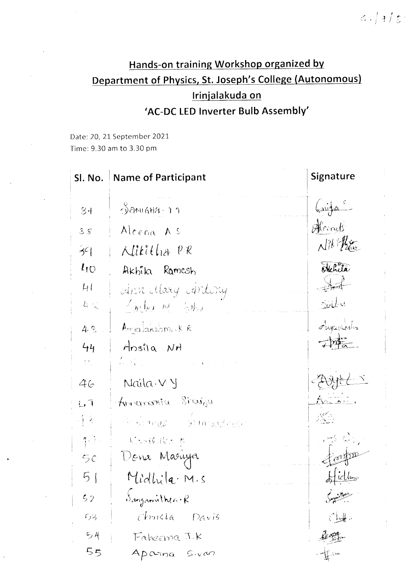|                              | Sl. No.   Name of Participant                     | Signature                          |
|------------------------------|---------------------------------------------------|------------------------------------|
| 34                           | $\sqrt{3}$ anugri $a \cdot 1$ 1                   | Cripa                              |
| 3S                           | Aleena AS                                         | Alexate                            |
| 3 <sup>2</sup>               | Alikitha PR                                       | Nik Prin                           |
| $l_{10}$                     | Akhila Ramesh                                     | Mehita                             |
| H                            | cinn cllary cantony                               | $\frac{1}{2}$                      |
| 4 吴                          | $\leq$ $n$ , $b$ $n$ $\leq$ $n$ $\leq$ $b$ $\geq$ | zvil u                             |
| 43                           | $Amalaksom.$ $k \, \mathcal{R}$                   | duciashy                           |
| 44                           | Ansi19.10                                         | $\pm m\overline{a}$                |
| $\tilde{\tau}(\tilde{\tau})$ | Angelski kongresi.<br>Angelski kongresi           |                                    |
| 46                           | $N$ $\alpha$ i $\alpha$ . $\vee$ $\vee$           | 西班台                                |
| 山下                           | American Shouju                                   | Animi.                             |
| 呼び                           | Printings - Simsethen                             | $\mathcal{K}_{\mathbb{Z}}$         |
| $-1 - 1$                     | Krothika p                                        | ants Color                         |
| 5c                           | Dona Maeuya                                       |                                    |
| 51                           | Midhila M.s                                       | $H$ icl $l$<br>$\frac{f(x)}{f(x)}$ |
| 52                           | $S$ anganithea. $R$                               | Sopathus                           |
| らろ                           | $Christa$ $Davis$                                 | $C$ in the set                     |
| 54                           | Faheema J.K                                       |                                    |
| 55                           | Apanna Sivan                                      |                                    |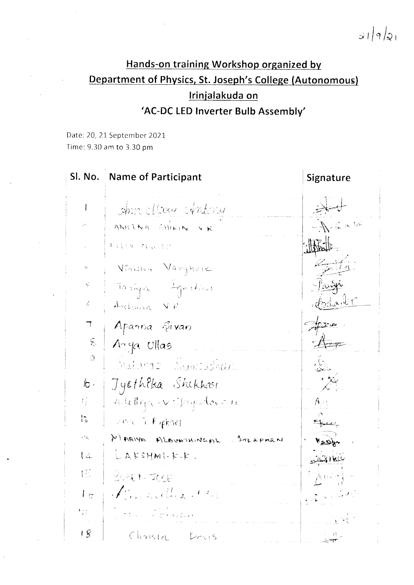Date: 20, 21 September 2021 Time: 9.30 am to 3.30 pm

|                               | Sl. No. Name of Participant                                                                                                                                                 | Signature                                                                                                                                                                                                                                                                                                                                                   |
|-------------------------------|-----------------------------------------------------------------------------------------------------------------------------------------------------------------------------|-------------------------------------------------------------------------------------------------------------------------------------------------------------------------------------------------------------------------------------------------------------------------------------------------------------------------------------------------------------|
| $\mathbf{L}$                  | shin Mieu Antony                                                                                                                                                            | $\Rightarrow +$                                                                                                                                                                                                                                                                                                                                             |
|                               | ANILLNA SHIRIN VR                                                                                                                                                           | $\begin{aligned} \begin{picture}(20,5) \put(0,0){\line(1,0){15}} \put(15,0){\line(1,0){15}} \put(15,0){\line(1,0){15}} \put(15,0){\line(1,0){15}} \put(15,0){\line(1,0){15}} \put(15,0){\line(1,0){15}} \put(15,0){\line(1,0){15}} \put(15,0){\line(1,0){15}} \put(15,0){\line(1,0){15}} \put(15,0){\line(1,0){15}} \put(15,0){\line(1,0){15}} \put(15,0){$ |
|                               | $\mathbb{E}\left\{ \left\{ \left\{ \left\{ \lambda \left\{ \lambda \right\} \right\} \right\} \left\{ \left\{ \left\{ \lambda \right\} \right\} \right\} \right\} \right\}$ | Hotel                                                                                                                                                                                                                                                                                                                                                       |
| $\sim$                        | Violen Varghere                                                                                                                                                             | 4.711                                                                                                                                                                                                                                                                                                                                                       |
| 5                             | Josyn Ignatical                                                                                                                                                             | $ \frac{1}{2}$                                                                                                                                                                                                                                                                                                                                              |
| Ķ                             | Andrasa $V \ell$                                                                                                                                                            | Cocharler                                                                                                                                                                                                                                                                                                                                                   |
| 7                             | Apanna Fivan                                                                                                                                                                | Jean                                                                                                                                                                                                                                                                                                                                                        |
| $\mathcal{S}$                 | Anya Ullas                                                                                                                                                                  | Art                                                                                                                                                                                                                                                                                                                                                         |
| ्                             | Journous Names Guer                                                                                                                                                         | ي الريمي.<br>منابعة أمر                                                                                                                                                                                                                                                                                                                                     |
| $\sqrt{6}$ .                  | Tyethlka Shikhan                                                                                                                                                            | $\mathbb{Z}^4$                                                                                                                                                                                                                                                                                                                                              |
| $U_{\rm{L}}$                  | ntelliga villagatovan                                                                                                                                                       | ्रीकेट                                                                                                                                                                                                                                                                                                                                                      |
| $\frac{1}{\alpha}$            | $1000$ T E phael                                                                                                                                                            |                                                                                                                                                                                                                                                                                                                                                             |
| 代                             | MARIYA ALAVATHINGAL STERPARN                                                                                                                                                | Kesiga                                                                                                                                                                                                                                                                                                                                                      |
| ( 4.                          | LAKSHMI.K.K.                                                                                                                                                                | لكا المكفكة                                                                                                                                                                                                                                                                                                                                                 |
| IS.                           | BLACK JOSE                                                                                                                                                                  | ふちられ                                                                                                                                                                                                                                                                                                                                                        |
| 16                            | Formation of the                                                                                                                                                            |                                                                                                                                                                                                                                                                                                                                                             |
| $\frac{1}{2}$ , $\frac{1}{2}$ |                                                                                                                                                                             |                                                                                                                                                                                                                                                                                                                                                             |
| 18                            | Christa Davis                                                                                                                                                               |                                                                                                                                                                                                                                                                                                                                                             |

 $\int$   $\int$   $\sqrt{q}$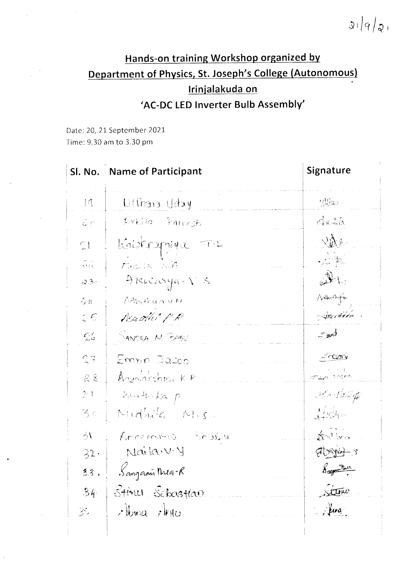$31|q|_{21}$ 

|                                                        | Sl. No. Name of Participant     | Signature           |
|--------------------------------------------------------|---------------------------------|---------------------|
| $\lceil \mathcal{A} \rceil$                            | Ulthara Uday                    | !                   |
| $\hat{\phi}$ th                                        | Artic Karnesh                   | ofmina              |
| 21                                                     | Koistrapiqu T.L                 | $-\sqrt{3}$         |
| $\frac{2\pi}{\sqrt{3}}\frac{m}{\sqrt{3}}$              | Ansila NA                       | $ /$ $\mathbb{R}$   |
| $-23$                                                  | Alsucarya-V.S                   | $\mathbb{R}^+$      |
| $\stackrel{\scriptscriptstyle \diagup}{\rightarrow}$ 4 | Adhithan V M                    | <i>Asthirtyles</i>  |
| $\mathcal{S}$                                          | Asadhi PR                       | Jardithe,           |
| $\%$                                                   | SANDRA M BABU                   | $z$ and             |
| 27                                                     | Emrin Jacon                     | 200                 |
| 28                                                     | Agyalakshtoi KR                 | <u>Familian</u>     |
| 24                                                     | kanthika p                      | Martology           |
| 3c                                                     | $Midhi^{\dagger}a - N\cdot s$ . | $\lambda$ relations |
| ふ                                                      | Anninonio Sculu                 | $x^{\frac{1}{2}}$   |
| 32.                                                    | Noilavy                         | $7599 - 5$          |
| 2.3                                                    | Sangani Mark                    | Eugenelle           |
| 34                                                     | Stiru Sebastian                 | Victoria            |
| 39                                                     | $\triangle$ bina $r$ lnio       | $\mathcal{L}$       |